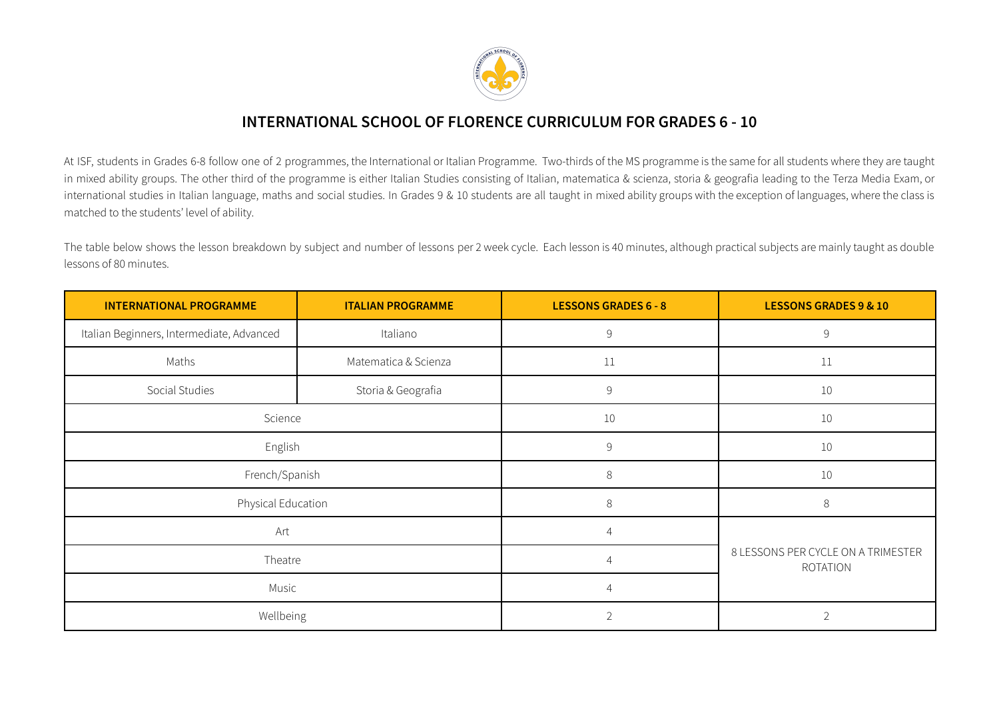

## **INTERNATIONAL SCHOOL OF FLORENCE CURRICULUM FOR GRADES 6 - 10**

At ISF, students in Grades 6-8 follow one of 2 programmes, the International or Italian Programme. Two-thirds of the MS programme is the same for all students where they are taught in mixed ability groups. The other third of the programme is either Italian Studies consisting of Italian, matematica & scienza, storia & geografia leading to the Terza Media Exam, or international studies in Italian language, maths and social studies. In Grades 9 & 10 students are all taught in mixed ability groups with the exception of languages, where the class is matched to the students' level of ability.

The table below shows the lesson breakdown by subject and number of lessons per 2 week cycle. Each lesson is 40 minutes, although practical subjects are mainly taught as double lessons of 80 minutes.

| <b>INTERNATIONAL PROGRAMME</b><br><b>ITALIAN PROGRAMME</b> |                      | <b>LESSONS GRADES 6 - 8</b> | <b>LESSONS GRADES 9 &amp; 10</b>                      |
|------------------------------------------------------------|----------------------|-----------------------------|-------------------------------------------------------|
| Italian Beginners, Intermediate, Advanced                  | Italiano             | 9                           | $\mathsf 9$                                           |
| Maths                                                      | Matematica & Scienza | 11                          | 11                                                    |
| Social Studies                                             | Storia & Geografia   | $\overline{9}$              | $10\,$                                                |
| Science                                                    |                      | $10\,$                      | $10\,$                                                |
| English                                                    |                      | 9                           | 10                                                    |
| French/Spanish                                             |                      | 8                           | 10                                                    |
| Physical Education                                         |                      | 8                           | $8\,$                                                 |
| Art                                                        |                      | $\overline{4}$              |                                                       |
| Theatre                                                    |                      | $\overline{4}$              | 8 LESSONS PER CYCLE ON A TRIMESTER<br><b>ROTATION</b> |
| Music                                                      |                      | $\overline{4}$              |                                                       |
| Wellbeing                                                  |                      |                             | $\overline{2}$                                        |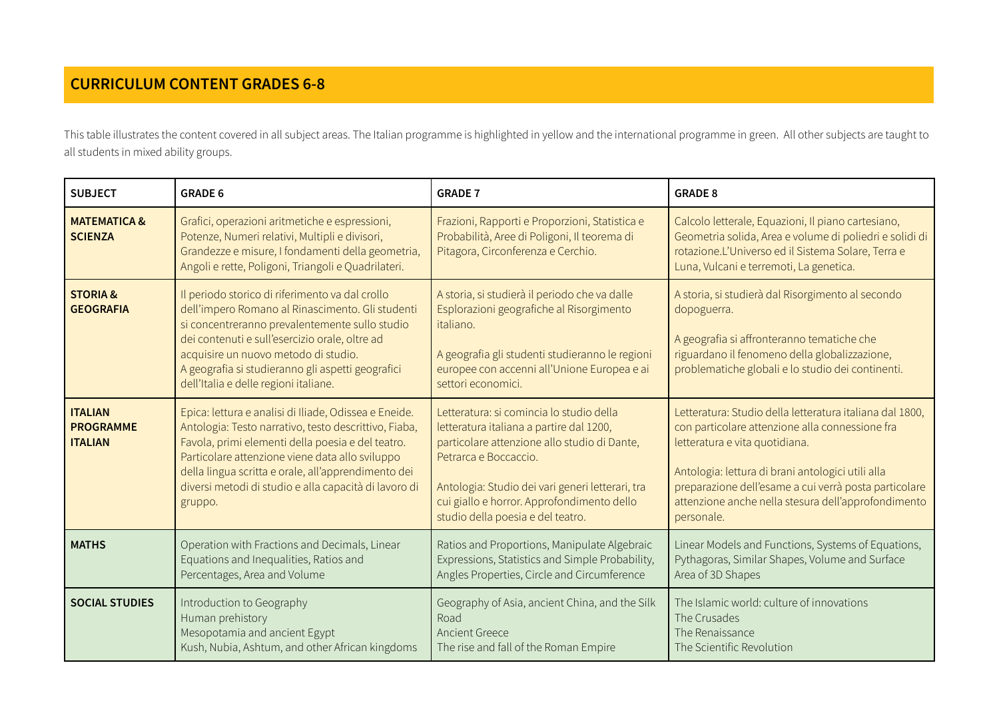## **CURRICULUM CONTENT GRADES 6-8**

This table illustrates the content covered in all subject areas. The Italian programme is highlighted in yellow and the international programme in green. All other subjects are taught to all students in mixed ability groups.

| <b>SUBJECT</b>                                       | <b>GRADE 6</b>                                                                                                                                                                                                                                                                                                                                    | <b>GRADE 7</b>                                                                                                                                                                                                                                                                                       | <b>GRADE 8</b>                                                                                                                                                                                                                                                                                                                   |
|------------------------------------------------------|---------------------------------------------------------------------------------------------------------------------------------------------------------------------------------------------------------------------------------------------------------------------------------------------------------------------------------------------------|------------------------------------------------------------------------------------------------------------------------------------------------------------------------------------------------------------------------------------------------------------------------------------------------------|----------------------------------------------------------------------------------------------------------------------------------------------------------------------------------------------------------------------------------------------------------------------------------------------------------------------------------|
| <b>MATEMATICA &amp;</b><br><b>SCIENZA</b>            | Grafici, operazioni aritmetiche e espressioni,<br>Potenze, Numeri relativi, Multipli e divisori,<br>Grandezze e misure, I fondamenti della geometria,<br>Angoli e rette, Poligoni, Triangoli e Quadrilateri.                                                                                                                                      | Frazioni, Rapporti e Proporzioni, Statistica e<br>Probabilità, Aree di Poligoni, Il teorema di<br>Pitagora, Circonferenza e Cerchio.                                                                                                                                                                 | Calcolo letterale, Equazioni, Il piano cartesiano,<br>Geometria solida, Area e volume di poliedri e solidi di<br>rotazione.L'Universo ed il Sistema Solare, Terra e<br>Luna, Vulcani e terremoti, La genetica.                                                                                                                   |
| <b>STORIA &amp;</b><br><b>GEOGRAFIA</b>              | Il periodo storico di riferimento va dal crollo<br>dell'impero Romano al Rinascimento. Gli studenti<br>si concentreranno prevalentemente sullo studio<br>dei contenuti e sull'esercizio orale, oltre ad<br>acquisire un nuovo metodo di studio.<br>A geografia si studieranno gli aspetti geografici<br>dell'Italia e delle regioni italiane.     | A storia, si studierà il periodo che va dalle<br>Esplorazioni geografiche al Risorgimento<br>italiano.<br>A geografia gli studenti studieranno le regioni<br>europee con accenni all'Unione Europea e ai<br>settori economici.                                                                       | A storia, si studierà dal Risorgimento al secondo<br>dopoguerra.<br>A geografia si affronteranno tematiche che<br>riguardano il fenomeno della globalizzazione,<br>problematiche globali e lo studio dei continenti.                                                                                                             |
| <b>ITALIAN</b><br><b>PROGRAMME</b><br><b>ITALIAN</b> | Epica: lettura e analisi di Iliade, Odissea e Eneide.<br>Antologia: Testo narrativo, testo descrittivo, Fiaba,<br>Favola, primi elementi della poesia e del teatro.<br>Particolare attenzione viene data allo sviluppo<br>della lingua scritta e orale, all'apprendimento dei<br>diversi metodi di studio e alla capacità di lavoro di<br>gruppo. | Letteratura: si comincia lo studio della<br>letteratura italiana a partire dal 1200,<br>particolare attenzione allo studio di Dante,<br>Petrarca e Boccaccio.<br>Antologia: Studio dei vari generi letterari, tra<br>cui giallo e horror. Approfondimento dello<br>studio della poesia e del teatro. | Letteratura: Studio della letteratura italiana dal 1800,<br>con particolare attenzione alla connessione fra<br>letteratura e vita quotidiana.<br>Antologia: lettura di brani antologici utili alla<br>preparazione dell'esame a cui verrà posta particolare<br>attenzione anche nella stesura dell'approfondimento<br>personale. |
| <b>MATHS</b>                                         | Operation with Fractions and Decimals, Linear<br>Equations and Inequalities, Ratios and<br>Percentages, Area and Volume                                                                                                                                                                                                                           | Ratios and Proportions, Manipulate Algebraic<br>Expressions, Statistics and Simple Probability,<br>Angles Properties, Circle and Circumference                                                                                                                                                       | Linear Models and Functions, Systems of Equations,<br>Pythagoras, Similar Shapes, Volume and Surface<br>Area of 3D Shapes                                                                                                                                                                                                        |
| <b>SOCIAL STUDIES</b>                                | Introduction to Geography<br>Human prehistory<br>Mesopotamia and ancient Egypt<br>Kush, Nubia, Ashtum, and other African kingdoms                                                                                                                                                                                                                 | Geography of Asia, ancient China, and the Silk<br>Road<br><b>Ancient Greece</b><br>The rise and fall of the Roman Empire                                                                                                                                                                             | The Islamic world: culture of innovations<br>The Crusades<br>The Renaissance<br>The Scientific Revolution                                                                                                                                                                                                                        |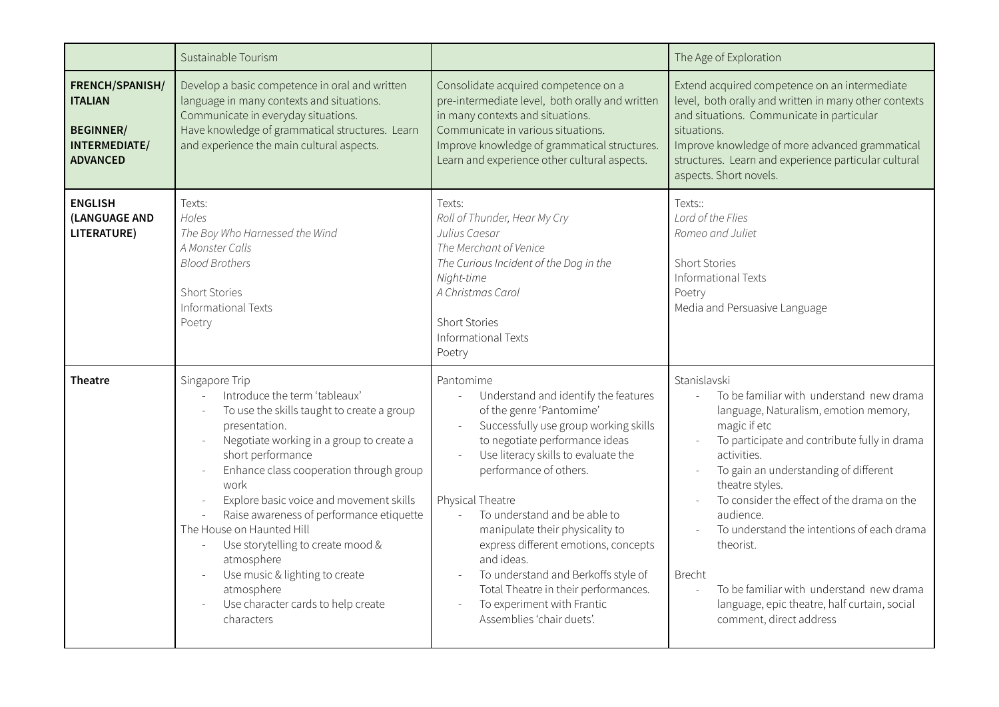|                                                                                           | Sustainable Tourism                                                                                                                                                                                                                                                                                                                                                                                                                                                                                           |                                                                                                                                                                                                                                                                                                                                                                                                                                                                                                                                                                                         | The Age of Exploration                                                                                                                                                                                                                                                                                                                                                                                                                                                                                                                                             |
|-------------------------------------------------------------------------------------------|---------------------------------------------------------------------------------------------------------------------------------------------------------------------------------------------------------------------------------------------------------------------------------------------------------------------------------------------------------------------------------------------------------------------------------------------------------------------------------------------------------------|-----------------------------------------------------------------------------------------------------------------------------------------------------------------------------------------------------------------------------------------------------------------------------------------------------------------------------------------------------------------------------------------------------------------------------------------------------------------------------------------------------------------------------------------------------------------------------------------|--------------------------------------------------------------------------------------------------------------------------------------------------------------------------------------------------------------------------------------------------------------------------------------------------------------------------------------------------------------------------------------------------------------------------------------------------------------------------------------------------------------------------------------------------------------------|
| FRENCH/SPANISH/<br><b>ITALIAN</b><br><b>BEGINNER/</b><br>INTERMEDIATE/<br><b>ADVANCED</b> | Develop a basic competence in oral and written<br>language in many contexts and situations.<br>Communicate in everyday situations.<br>Have knowledge of grammatical structures. Learn<br>and experience the main cultural aspects.                                                                                                                                                                                                                                                                            | Consolidate acquired competence on a<br>pre-intermediate level, both orally and written<br>in many contexts and situations.<br>Communicate in various situations.<br>Improve knowledge of grammatical structures.<br>Learn and experience other cultural aspects.                                                                                                                                                                                                                                                                                                                       | Extend acquired competence on an intermediate<br>level, both orally and written in many other contexts<br>and situations. Communicate in particular<br>situations.<br>Improve knowledge of more advanced grammatical<br>structures. Learn and experience particular cultural<br>aspects. Short novels.                                                                                                                                                                                                                                                             |
| <b>ENGLISH</b><br>(LANGUAGE AND<br>LITERATURE)                                            | Texts:<br>Holes<br>The Boy Who Harnessed the Wind<br>A Monster Calls<br><b>Blood Brothers</b><br><b>Short Stories</b><br>Informational Texts<br>Poetry                                                                                                                                                                                                                                                                                                                                                        | Texts:<br>Roll of Thunder, Hear My Cry<br>Julius Caesar<br>The Merchant of Venice<br>The Curious Incident of the Dog in the<br>Night-time<br>A Christmas Carol<br><b>Short Stories</b><br>Informational Texts<br>Poetry                                                                                                                                                                                                                                                                                                                                                                 | Texts::<br>Lord of the Flies<br>Romeo and Juliet<br><b>Short Stories</b><br>Informational Texts<br>Poetry<br>Media and Persuasive Language                                                                                                                                                                                                                                                                                                                                                                                                                         |
| <b>Theatre</b>                                                                            | Singapore Trip<br>Introduce the term 'tableaux'<br>To use the skills taught to create a group<br>presentation.<br>Negotiate working in a group to create a<br>short performance<br>Enhance class cooperation through group<br>work<br>Explore basic voice and movement skills<br>Raise awareness of performance etiquette<br>The House on Haunted Hill<br>Use storytelling to create mood &<br>atmosphere<br>Use music & lighting to create<br>atmosphere<br>Use character cards to help create<br>characters | Pantomime<br>Understand and identify the features<br>$\bar{\mathcal{L}}$<br>of the genre 'Pantomime'<br>Successfully use group working skills<br>$\mathcal{L}$<br>to negotiate performance ideas<br>Use literacy skills to evaluate the<br>performance of others.<br>Physical Theatre<br>To understand and be able to<br>$\mathcal{L}^{\mathcal{L}}$<br>manipulate their physicality to<br>express different emotions, concepts<br>and ideas.<br>To understand and Berkoffs style of<br>Total Theatre in their performances.<br>To experiment with Frantic<br>Assemblies 'chair duets'. | Stanislavski<br>To be familiar with understand new drama<br>$\overline{a}$<br>language, Naturalism, emotion memory,<br>magic if etc<br>To participate and contribute fully in drama<br>$\overline{\phantom{a}}$<br>activities.<br>To gain an understanding of different<br>theatre styles.<br>To consider the effect of the drama on the<br>audience.<br>To understand the intentions of each drama<br>theorist.<br><b>Brecht</b><br>To be familiar with understand new drama<br>$\sim$<br>language, epic theatre, half curtain, social<br>comment, direct address |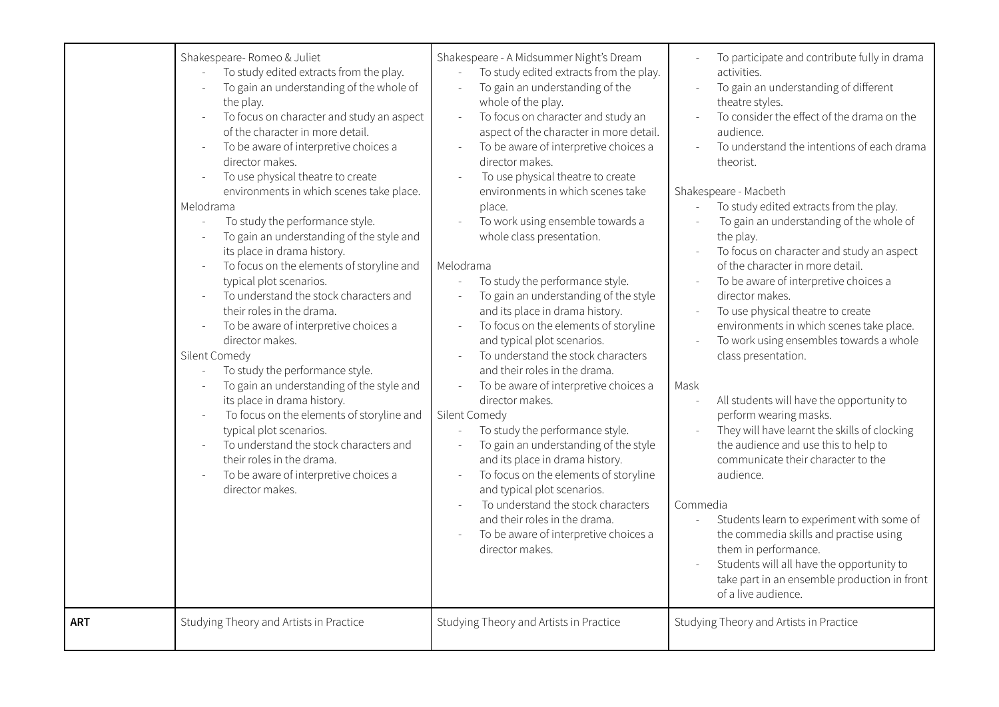| Shakespeare- Romeo & Juliet<br>To study edited extracts from the play.<br>To gain an understanding of the whole of<br>the play.<br>To focus on character and study an aspect<br>of the character in more detail.<br>To be aware of interpretive choices a<br>director makes.<br>To use physical theatre to create<br>environments in which scenes take place.<br>Melodrama<br>To study the performance style.<br>To gain an understanding of the style and<br>its place in drama history.<br>To focus on the elements of storyline and<br>typical plot scenarios.<br>To understand the stock characters and<br>their roles in the drama.<br>To be aware of interpretive choices a<br>director makes.<br>Silent Comedy<br>To study the performance style.<br>To gain an understanding of the style and<br>its place in drama history.<br>To focus on the elements of storyline and<br>typical plot scenarios.<br>To understand the stock characters and<br>their roles in the drama.<br>To be aware of interpretive choices a<br>director makes. | Shakespeare - A Midsummer Night's Dream<br>To study edited extracts from the play.<br>$\overline{a}$<br>To gain an understanding of the<br>$\overline{a}$<br>whole of the play.<br>To focus on character and study an<br>$\overline{\phantom{a}}$<br>aspect of the character in more detail.<br>To be aware of interpretive choices a<br>director makes.<br>To use physical theatre to create<br>environments in which scenes take<br>place.<br>To work using ensemble towards a<br>whole class presentation.<br>Melodrama<br>To study the performance style.<br>$\overline{a}$<br>To gain an understanding of the style<br>and its place in drama history.<br>To focus on the elements of storyline<br>and typical plot scenarios.<br>To understand the stock characters<br>and their roles in the drama.<br>To be aware of interpretive choices a<br>director makes.<br>Silent Comedy<br>To study the performance style.<br>$\overline{a}$<br>To gain an understanding of the style<br>and its place in drama history.<br>To focus on the elements of storyline<br>and typical plot scenarios.<br>To understand the stock characters<br>and their roles in the drama.<br>To be aware of interpretive choices a<br>director makes. | To participate and contribute fully in drama<br>activities.<br>To gain an understanding of different<br>theatre styles.<br>To consider the effect of the drama on the<br>audience.<br>To understand the intentions of each drama<br>theorist.<br>Shakespeare - Macbeth<br>To study edited extracts from the play.<br>To gain an understanding of the whole of<br>the play.<br>To focus on character and study an aspect<br>of the character in more detail.<br>To be aware of interpretive choices a<br>$\overline{\phantom{a}}$<br>director makes.<br>To use physical theatre to create<br>environments in which scenes take place.<br>To work using ensembles towards a whole<br>class presentation.<br>Mask<br>All students will have the opportunity to<br>perform wearing masks.<br>They will have learnt the skills of clocking<br>the audience and use this to help to<br>communicate their character to the<br>audience.<br>Commedia<br>Students learn to experiment with some of<br>$\overline{\phantom{a}}$<br>the commedia skills and practise using<br>them in performance.<br>Students will all have the opportunity to<br>take part in an ensemble production in front |
|-------------------------------------------------------------------------------------------------------------------------------------------------------------------------------------------------------------------------------------------------------------------------------------------------------------------------------------------------------------------------------------------------------------------------------------------------------------------------------------------------------------------------------------------------------------------------------------------------------------------------------------------------------------------------------------------------------------------------------------------------------------------------------------------------------------------------------------------------------------------------------------------------------------------------------------------------------------------------------------------------------------------------------------------------|-------------------------------------------------------------------------------------------------------------------------------------------------------------------------------------------------------------------------------------------------------------------------------------------------------------------------------------------------------------------------------------------------------------------------------------------------------------------------------------------------------------------------------------------------------------------------------------------------------------------------------------------------------------------------------------------------------------------------------------------------------------------------------------------------------------------------------------------------------------------------------------------------------------------------------------------------------------------------------------------------------------------------------------------------------------------------------------------------------------------------------------------------------------------------------------------------------------------------------------|--------------------------------------------------------------------------------------------------------------------------------------------------------------------------------------------------------------------------------------------------------------------------------------------------------------------------------------------------------------------------------------------------------------------------------------------------------------------------------------------------------------------------------------------------------------------------------------------------------------------------------------------------------------------------------------------------------------------------------------------------------------------------------------------------------------------------------------------------------------------------------------------------------------------------------------------------------------------------------------------------------------------------------------------------------------------------------------------------------------------------------------------------------------------------------------|
| Studying Theory and Artists in Practice<br>ART                                                                                                                                                                                                                                                                                                                                                                                                                                                                                                                                                                                                                                                                                                                                                                                                                                                                                                                                                                                                  | Studying Theory and Artists in Practice                                                                                                                                                                                                                                                                                                                                                                                                                                                                                                                                                                                                                                                                                                                                                                                                                                                                                                                                                                                                                                                                                                                                                                                             | of a live audience.<br>Studying Theory and Artists in Practice                                                                                                                                                                                                                                                                                                                                                                                                                                                                                                                                                                                                                                                                                                                                                                                                                                                                                                                                                                                                                                                                                                                       |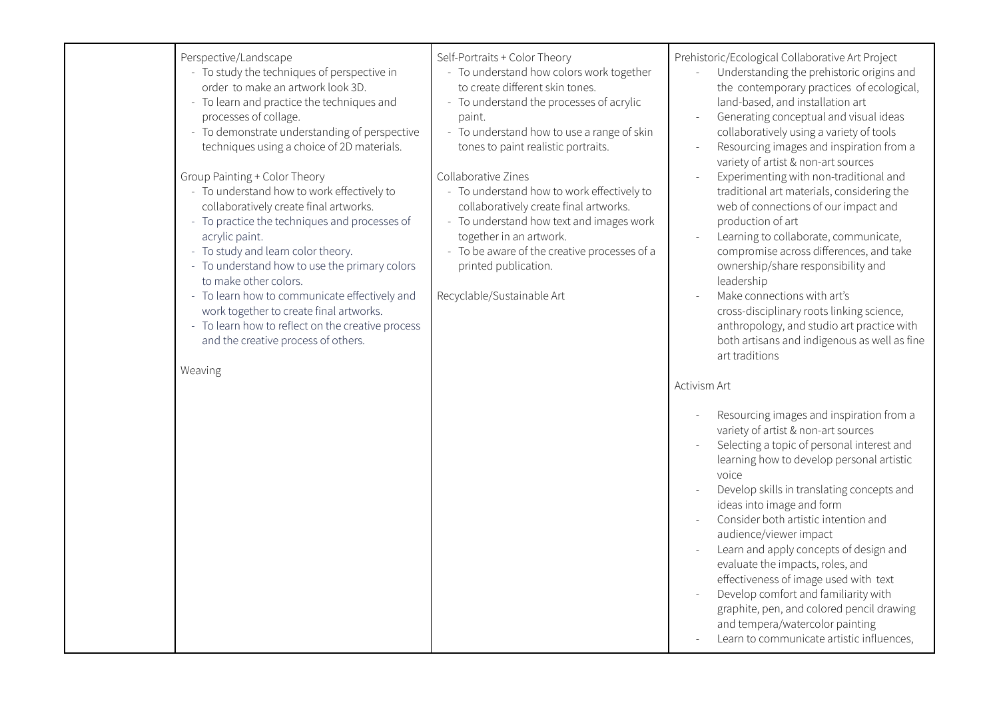| Perspective/Landscape<br>- To study the techniques of perspective in<br>order to make an artwork look 3D.<br>- To learn and practice the techniques and<br>processes of collage.<br>- To demonstrate understanding of perspective<br>techniques using a choice of 2D materials.                                                                                                                                                                                                                             | Self-Portraits + Color Theory<br>- To understand how colors work together<br>to create different skin tones.<br>- To understand the processes of acrylic<br>paint.<br>- To understand how to use a range of skin<br>tones to paint realistic portraits.                                  | Prehistoric/Ecological Collaborative Art Project<br>Understanding the prehistoric origins and<br>the contemporary practices of ecological,<br>land-based, and installation art<br>Generating conceptual and visual ideas<br>collaboratively using a variety of tools<br>Resourcing images and inspiration from a<br>variety of artist & non-art sources                                                                                                                                                                                                                                                                      |
|-------------------------------------------------------------------------------------------------------------------------------------------------------------------------------------------------------------------------------------------------------------------------------------------------------------------------------------------------------------------------------------------------------------------------------------------------------------------------------------------------------------|------------------------------------------------------------------------------------------------------------------------------------------------------------------------------------------------------------------------------------------------------------------------------------------|------------------------------------------------------------------------------------------------------------------------------------------------------------------------------------------------------------------------------------------------------------------------------------------------------------------------------------------------------------------------------------------------------------------------------------------------------------------------------------------------------------------------------------------------------------------------------------------------------------------------------|
| Group Painting + Color Theory<br>- To understand how to work effectively to<br>collaboratively create final artworks.<br>- To practice the techniques and processes of<br>acrylic paint.<br>- To study and learn color theory.<br>- To understand how to use the primary colors<br>to make other colors.<br>- To learn how to communicate effectively and<br>work together to create final artworks.<br>- To learn how to reflect on the creative process<br>and the creative process of others.<br>Weaving | Collaborative Zines<br>- To understand how to work effectively to<br>collaboratively create final artworks.<br>- To understand how text and images work<br>together in an artwork.<br>- To be aware of the creative processes of a<br>printed publication.<br>Recyclable/Sustainable Art | Experimenting with non-traditional and<br>traditional art materials, considering the<br>web of connections of our impact and<br>production of art<br>Learning to collaborate, communicate,<br>compromise across differences, and take<br>ownership/share responsibility and<br>leadership<br>Make connections with art's<br>cross-disciplinary roots linking science,<br>anthropology, and studio art practice with<br>both artisans and indigenous as well as fine<br>art traditions<br>Activism Art                                                                                                                        |
|                                                                                                                                                                                                                                                                                                                                                                                                                                                                                                             |                                                                                                                                                                                                                                                                                          | Resourcing images and inspiration from a<br>variety of artist & non-art sources<br>Selecting a topic of personal interest and<br>learning how to develop personal artistic<br>voice<br>Develop skills in translating concepts and<br>ideas into image and form<br>Consider both artistic intention and<br>audience/viewer impact<br>Learn and apply concepts of design and<br>evaluate the impacts, roles, and<br>effectiveness of image used with text<br>Develop comfort and familiarity with<br>graphite, pen, and colored pencil drawing<br>and tempera/watercolor painting<br>Learn to communicate artistic influences, |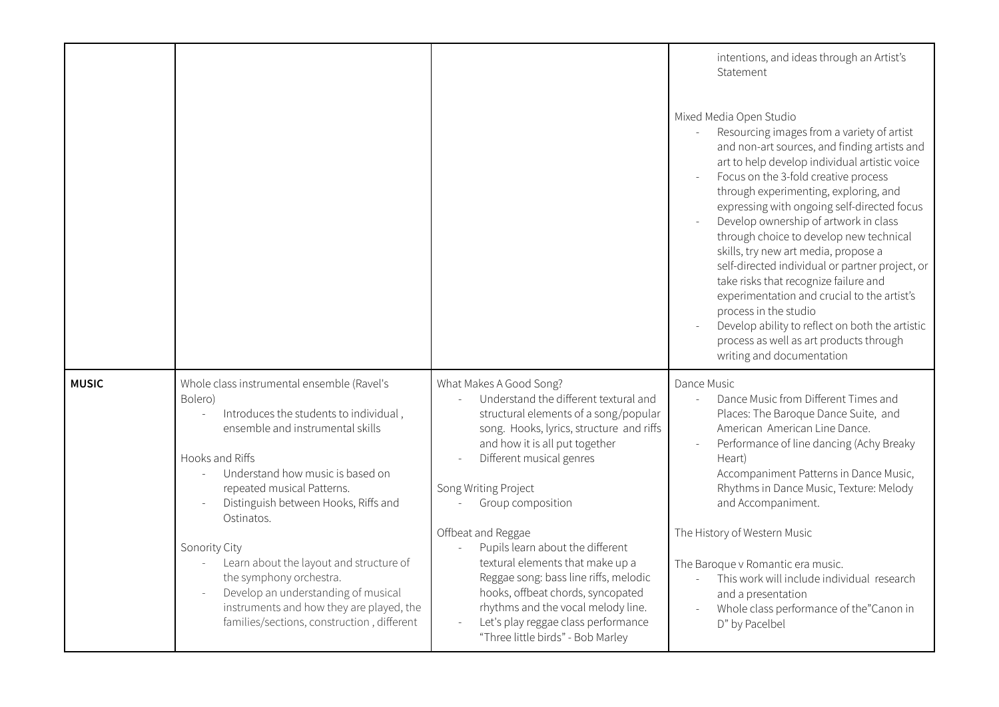|              |                                                                                                                                                                                                                                                                                |                                                                                                                                                                                                                                                                                        | intentions, and ideas through an Artist's<br>Statement                                                                                                                                                                                                                                                                                                                                                                                                                                                                                                                                                                                                                                                                            |
|--------------|--------------------------------------------------------------------------------------------------------------------------------------------------------------------------------------------------------------------------------------------------------------------------------|----------------------------------------------------------------------------------------------------------------------------------------------------------------------------------------------------------------------------------------------------------------------------------------|-----------------------------------------------------------------------------------------------------------------------------------------------------------------------------------------------------------------------------------------------------------------------------------------------------------------------------------------------------------------------------------------------------------------------------------------------------------------------------------------------------------------------------------------------------------------------------------------------------------------------------------------------------------------------------------------------------------------------------------|
|              |                                                                                                                                                                                                                                                                                |                                                                                                                                                                                                                                                                                        | Mixed Media Open Studio<br>Resourcing images from a variety of artist<br>and non-art sources, and finding artists and<br>art to help develop individual artistic voice<br>Focus on the 3-fold creative process<br>through experimenting, exploring, and<br>expressing with ongoing self-directed focus<br>Develop ownership of artwork in class<br>through choice to develop new technical<br>skills, try new art media, propose a<br>self-directed individual or partner project, or<br>take risks that recognize failure and<br>experimentation and crucial to the artist's<br>process in the studio<br>Develop ability to reflect on both the artistic<br>process as well as art products through<br>writing and documentation |
| <b>MUSIC</b> | Whole class instrumental ensemble (Ravel's<br>Bolero)<br>Introduces the students to individual,<br>ensemble and instrumental skills<br>Hooks and Riffs<br>Understand how music is based on<br>repeated musical Patterns.<br>Distinguish between Hooks, Riffs and<br>Ostinatos. | What Makes A Good Song?<br>Understand the different textural and<br>structural elements of a song/popular<br>song. Hooks, lyrics, structure and riffs<br>and how it is all put together<br>Different musical genres<br>Song Writing Project<br>Group composition<br>Offbeat and Reggae | Dance Music<br>Dance Music from Different Times and<br>$\overline{a}$<br>Places: The Baroque Dance Suite, and<br>American American Line Dance.<br>Performance of line dancing (Achy Breaky<br>Heart)<br>Accompaniment Patterns in Dance Music,<br>Rhythms in Dance Music, Texture: Melody<br>and Accompaniment.<br>The History of Western Music                                                                                                                                                                                                                                                                                                                                                                                   |
|              | Sonority City<br>Learn about the layout and structure of<br>the symphony orchestra.<br>Develop an understanding of musical<br>instruments and how they are played, the<br>families/sections, construction, different                                                           | Pupils learn about the different<br>textural elements that make up a<br>Reggae song: bass line riffs, melodic<br>hooks, offbeat chords, syncopated<br>rhythms and the vocal melody line.<br>Let's play reggae class performance<br>"Three little birds" - Bob Marley                   | The Baroque v Romantic era music.<br>This work will include individual research<br>and a presentation<br>Whole class performance of the"Canon in<br>D" by Pacelbel                                                                                                                                                                                                                                                                                                                                                                                                                                                                                                                                                                |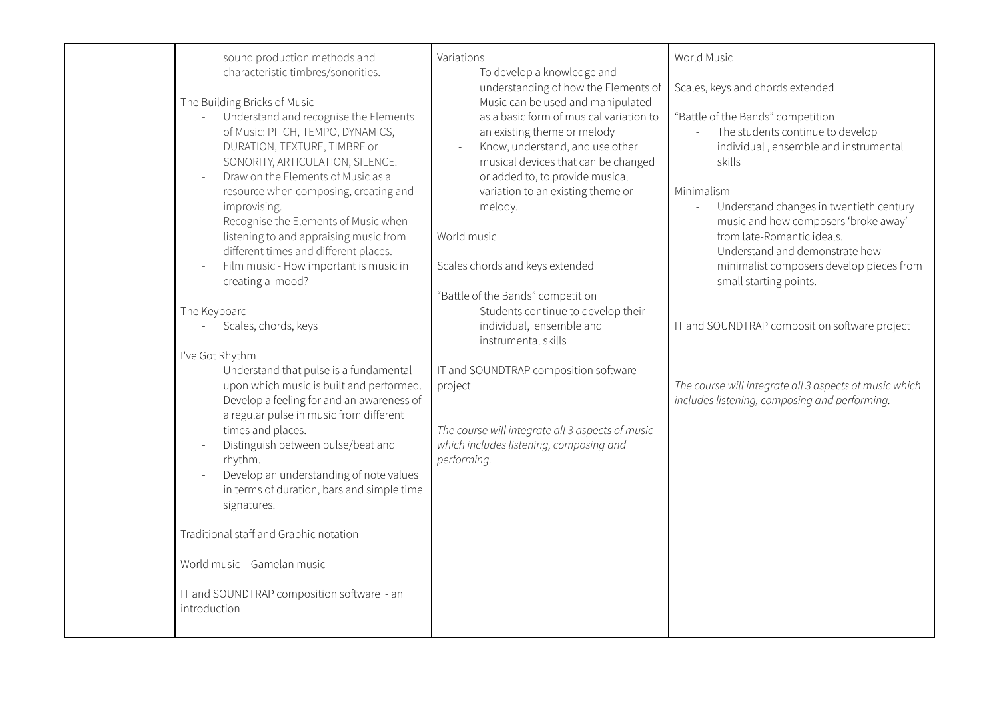| sound production methods and<br>characteristic timbres/sonorities.<br>The Building Bricks of Music<br>Understand and recognise the Elements<br>$\bar{\mathcal{L}}$<br>of Music: PITCH, TEMPO, DYNAMICS,<br>DURATION, TEXTURE, TIMBRE or<br>SONORITY, ARTICULATION, SILENCE.<br>Draw on the Elements of Music as a<br>$\sim$<br>resource when composing, creating and<br>improvising.<br>Recognise the Elements of Music when<br>listening to and appraising music from<br>different times and different places.<br>Film music - How important is music in<br>creating a mood?<br>The Keyboard<br>Scales, chords, keys<br>$\overline{\phantom{a}}$<br>I've Got Rhythm<br>Understand that pulse is a fundamental<br>$\sim$<br>upon which music is built and performed.<br>Develop a feeling for and an awareness of<br>a regular pulse in music from different<br>times and places.<br>Distinguish between pulse/beat and<br>rhythm.<br>Develop an understanding of note values<br>in terms of duration, bars and simple time<br>signatures.<br>Traditional staff and Graphic notation | Variations<br>To develop a knowledge and<br>understanding of how the Elements of<br>Music can be used and manipulated<br>as a basic form of musical variation to<br>an existing theme or melody<br>Know, understand, and use other<br>$\mathbb{L}$<br>musical devices that can be changed<br>or added to, to provide musical<br>variation to an existing theme or<br>melody.<br>World music<br>Scales chords and keys extended<br>"Battle of the Bands" competition<br>Students continue to develop their<br>individual, ensemble and<br>instrumental skills<br>IT and SOUNDTRAP composition software<br>project<br>The course will integrate all 3 aspects of music<br>which includes listening, composing and<br>performing. | World Music<br>Scales, keys and chords extended<br>"Battle of the Bands" competition<br>The students continue to develop<br>$\mathbb{Z}^{\mathbb{Z}}$<br>individual, ensemble and instrumental<br>skills<br>Minimalism<br>Understand changes in twentieth century<br>music and how composers 'broke away'<br>from late-Romantic ideals.<br>Understand and demonstrate how<br>minimalist composers develop pieces from<br>small starting points.<br>IT and SOUNDTRAP composition software project<br>The course will integrate all 3 aspects of music which<br>includes listening, composing and performing. |
|--------------------------------------------------------------------------------------------------------------------------------------------------------------------------------------------------------------------------------------------------------------------------------------------------------------------------------------------------------------------------------------------------------------------------------------------------------------------------------------------------------------------------------------------------------------------------------------------------------------------------------------------------------------------------------------------------------------------------------------------------------------------------------------------------------------------------------------------------------------------------------------------------------------------------------------------------------------------------------------------------------------------------------------------------------------------------------------|--------------------------------------------------------------------------------------------------------------------------------------------------------------------------------------------------------------------------------------------------------------------------------------------------------------------------------------------------------------------------------------------------------------------------------------------------------------------------------------------------------------------------------------------------------------------------------------------------------------------------------------------------------------------------------------------------------------------------------|-------------------------------------------------------------------------------------------------------------------------------------------------------------------------------------------------------------------------------------------------------------------------------------------------------------------------------------------------------------------------------------------------------------------------------------------------------------------------------------------------------------------------------------------------------------------------------------------------------------|
| World music - Gamelan music<br>IT and SOUNDTRAP composition software - an<br>introduction                                                                                                                                                                                                                                                                                                                                                                                                                                                                                                                                                                                                                                                                                                                                                                                                                                                                                                                                                                                            |                                                                                                                                                                                                                                                                                                                                                                                                                                                                                                                                                                                                                                                                                                                                |                                                                                                                                                                                                                                                                                                                                                                                                                                                                                                                                                                                                             |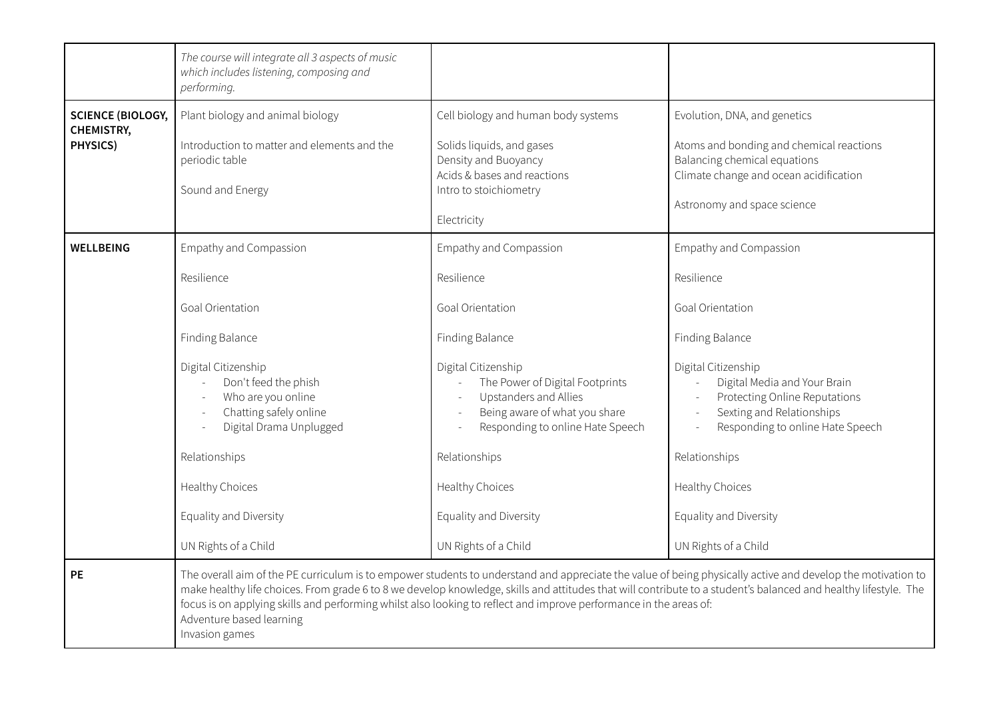|                                                    | The course will integrate all 3 aspects of music<br>which includes listening, composing and<br>performing.                                                                                                                                                                 |                                                                                                                                                                                                                                                                                                          |                                                                                                                                                                                                                                                                                                                                                        |
|----------------------------------------------------|----------------------------------------------------------------------------------------------------------------------------------------------------------------------------------------------------------------------------------------------------------------------------|----------------------------------------------------------------------------------------------------------------------------------------------------------------------------------------------------------------------------------------------------------------------------------------------------------|--------------------------------------------------------------------------------------------------------------------------------------------------------------------------------------------------------------------------------------------------------------------------------------------------------------------------------------------------------|
| <b>SCIENCE (BIOLOGY,</b><br>CHEMISTRY,<br>PHYSICS) | Plant biology and animal biology<br>Introduction to matter and elements and the<br>periodic table<br>Sound and Energy                                                                                                                                                      | Cell biology and human body systems<br>Solids liquids, and gases<br>Density and Buoyancy<br>Acids & bases and reactions<br>Intro to stoichiometry<br>Electricity                                                                                                                                         | Evolution, DNA, and genetics<br>Atoms and bonding and chemical reactions<br>Balancing chemical equations<br>Climate change and ocean acidification<br>Astronomy and space science                                                                                                                                                                      |
| <b>WELLBEING</b>                                   | Empathy and Compassion<br>Resilience<br>Goal Orientation<br>Finding Balance<br>Digital Citizenship<br>Don't feed the phish<br>Who are you online<br>Chatting safely online<br>Digital Drama Unplugged<br>Relationships<br><b>Healthy Choices</b><br>Equality and Diversity | Empathy and Compassion<br>Resilience<br>Goal Orientation<br>Finding Balance<br>Digital Citizenship<br>The Power of Digital Footprints<br>Upstanders and Allies<br>Being aware of what you share<br>Responding to online Hate Speech<br>Relationships<br><b>Healthy Choices</b><br>Equality and Diversity | Empathy and Compassion<br>Resilience<br>Goal Orientation<br>Finding Balance<br>Digital Citizenship<br>Digital Media and Your Brain<br>$\overline{\phantom{a}}$<br>Protecting Online Reputations<br>Sexting and Relationships<br>$\sim$<br>Responding to online Hate Speech<br>Relationships<br><b>Healthy Choices</b><br>Equality and Diversity        |
| PE                                                 | UN Rights of a Child<br>focus is on applying skills and performing whilst also looking to reflect and improve performance in the areas of:<br>Adventure based learning<br>Invasion games                                                                                   | UN Rights of a Child                                                                                                                                                                                                                                                                                     | UN Rights of a Child<br>The overall aim of the PE curriculum is to empower students to understand and appreciate the value of being physically active and develop the motivation to<br>make healthy life choices. From grade 6 to 8 we develop knowledge, skills and attitudes that will contribute to a student's balanced and healthy lifestyle. The |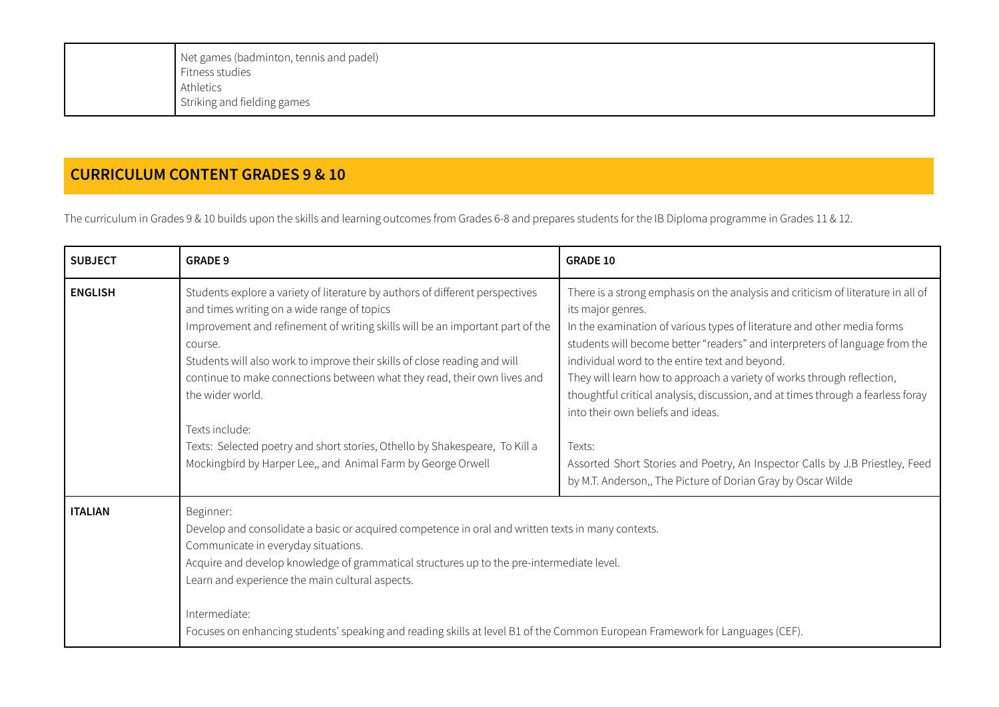| Net games (badminton, tennis and padel) |
|-----------------------------------------|
| Fitness studies                         |
| Athletics                               |
| Striking and fielding games             |
|                                         |

## **CURRICULUM CONTENT GRADES 9 & 10**

The curriculum in Grades 9 & 10 builds upon the skills and learning outcomes from Grades 6-8 and prepares students for the IB Diploma programme in Grades 11 & 12.

| <b>SUBJECT</b> | <b>GRADE 9</b>                                                                                                                                                                                                                                                                                                                                                                                                                                                                                                                                                         | <b>GRADE 10</b>                                                                                                                                                                                                                                                                                                                                                                                                                                                                                                                                                                                                                                                               |
|----------------|------------------------------------------------------------------------------------------------------------------------------------------------------------------------------------------------------------------------------------------------------------------------------------------------------------------------------------------------------------------------------------------------------------------------------------------------------------------------------------------------------------------------------------------------------------------------|-------------------------------------------------------------------------------------------------------------------------------------------------------------------------------------------------------------------------------------------------------------------------------------------------------------------------------------------------------------------------------------------------------------------------------------------------------------------------------------------------------------------------------------------------------------------------------------------------------------------------------------------------------------------------------|
| <b>ENGLISH</b> | Students explore a variety of literature by authors of different perspectives<br>and times writing on a wide range of topics<br>Improvement and refinement of writing skills will be an important part of the<br>course.<br>Students will also work to improve their skills of close reading and will<br>continue to make connections between what they read, their own lives and<br>the wider world.<br>Texts include:<br>Texts: Selected poetry and short stories, Othello by Shakespeare, To Kill a<br>Mockingbird by Harper Lee,, and Animal Farm by George Orwell | There is a strong emphasis on the analysis and criticism of literature in all of<br>its major genres.<br>In the examination of various types of literature and other media forms<br>students will become better "readers" and interpreters of language from the<br>individual word to the entire text and beyond.<br>They will learn how to approach a variety of works through reflection,<br>thoughtful critical analysis, discussion, and at times through a fearless foray<br>into their own beliefs and ideas.<br>Texts:<br>Assorted Short Stories and Poetry, An Inspector Calls by J.B Priestley, Feed<br>by M.T. Anderson,, The Picture of Dorian Gray by Oscar Wilde |
| <b>ITALIAN</b> | Beginner:<br>Develop and consolidate a basic or acquired competence in oral and written texts in many contexts.<br>Communicate in everyday situations.<br>Acquire and develop knowledge of grammatical structures up to the pre-intermediate level.<br>Learn and experience the main cultural aspects.<br>Intermediate:<br>Focuses on enhancing students' speaking and reading skills at level B1 of the Common European Framework for Languages (CEF).                                                                                                                |                                                                                                                                                                                                                                                                                                                                                                                                                                                                                                                                                                                                                                                                               |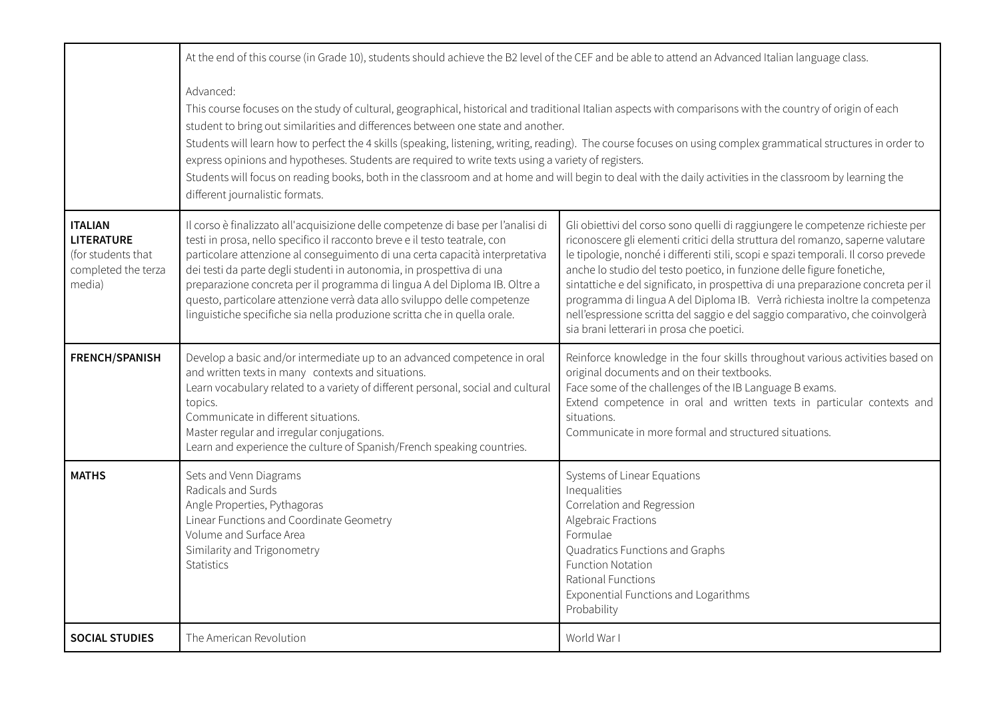|                                                                                            | At the end of this course (in Grade 10), students should achieve the B2 level of the CEF and be able to attend an Advanced Italian language class.                                                                                                                                                                                                                                                                                                                                                                                                                                                                                                                                                                                    |                                                                                                                                                                                                                                                                                                                                                                                                                                                                                                                                                                                                                                    |  |
|--------------------------------------------------------------------------------------------|---------------------------------------------------------------------------------------------------------------------------------------------------------------------------------------------------------------------------------------------------------------------------------------------------------------------------------------------------------------------------------------------------------------------------------------------------------------------------------------------------------------------------------------------------------------------------------------------------------------------------------------------------------------------------------------------------------------------------------------|------------------------------------------------------------------------------------------------------------------------------------------------------------------------------------------------------------------------------------------------------------------------------------------------------------------------------------------------------------------------------------------------------------------------------------------------------------------------------------------------------------------------------------------------------------------------------------------------------------------------------------|--|
|                                                                                            | Advanced:<br>This course focuses on the study of cultural, geographical, historical and traditional Italian aspects with comparisons with the country of origin of each<br>student to bring out similarities and differences between one state and another.<br>Students will learn how to perfect the 4 skills (speaking, listening, writing, reading). The course focuses on using complex grammatical structures in order to<br>express opinions and hypotheses. Students are required to write texts using a variety of registers.<br>Students will focus on reading books, both in the classroom and at home and will begin to deal with the daily activities in the classroom by learning the<br>different journalistic formats. |                                                                                                                                                                                                                                                                                                                                                                                                                                                                                                                                                                                                                                    |  |
| <b>ITALIAN</b><br><b>LITERATURE</b><br>(for students that<br>completed the terza<br>media) | Il corso è finalizzato all'acquisizione delle competenze di base per l'analisi di<br>testi in prosa, nello specifico il racconto breve e il testo teatrale, con<br>particolare attenzione al conseguimento di una certa capacità interpretativa<br>dei testi da parte degli studenti in autonomia, in prospettiva di una<br>preparazione concreta per il programma di lingua A del Diploma IB. Oltre a<br>questo, particolare attenzione verrà data allo sviluppo delle competenze<br>linguistiche specifiche sia nella produzione scritta che in quella orale.                                                                                                                                                                       | Gli obiettivi del corso sono quelli di raggiungere le competenze richieste per<br>riconoscere gli elementi critici della struttura del romanzo, saperne valutare<br>le tipologie, nonché i differenti stili, scopi e spazi temporali. Il corso prevede<br>anche lo studio del testo poetico, in funzione delle figure fonetiche,<br>sintattiche e del significato, in prospettiva di una preparazione concreta per il<br>programma di lingua A del Diploma IB. Verrà richiesta inoltre la competenza<br>nell'espressione scritta del saggio e del saggio comparativo, che coinvolgerà<br>sia brani letterari in prosa che poetici. |  |
| <b>FRENCH/SPANISH</b>                                                                      | Develop a basic and/or intermediate up to an advanced competence in oral<br>and written texts in many contexts and situations.<br>Learn vocabulary related to a variety of different personal, social and cultural<br>topics.<br>Communicate in different situations.<br>Master regular and irregular conjugations.<br>Learn and experience the culture of Spanish/French speaking countries.                                                                                                                                                                                                                                                                                                                                         | Reinforce knowledge in the four skills throughout various activities based on<br>original documents and on their textbooks.<br>Face some of the challenges of the IB Language B exams.<br>Extend competence in oral and written texts in particular contexts and<br>situations.<br>Communicate in more formal and structured situations.                                                                                                                                                                                                                                                                                           |  |
| <b>MATHS</b>                                                                               | Sets and Venn Diagrams<br>Radicals and Surds<br>Angle Properties, Pythagoras<br>Linear Functions and Coordinate Geometry<br>Volume and Surface Area<br>Similarity and Trigonometry<br><b>Statistics</b>                                                                                                                                                                                                                                                                                                                                                                                                                                                                                                                               | Systems of Linear Equations<br>Inequalities<br>Correlation and Regression<br>Algebraic Fractions<br>Formulae<br>Quadratics Functions and Graphs<br><b>Function Notation</b><br>Rational Functions<br>Exponential Functions and Logarithms<br>Probability                                                                                                                                                                                                                                                                                                                                                                           |  |
| <b>SOCIAL STUDIES</b>                                                                      | The American Revolution                                                                                                                                                                                                                                                                                                                                                                                                                                                                                                                                                                                                                                                                                                               | World War I                                                                                                                                                                                                                                                                                                                                                                                                                                                                                                                                                                                                                        |  |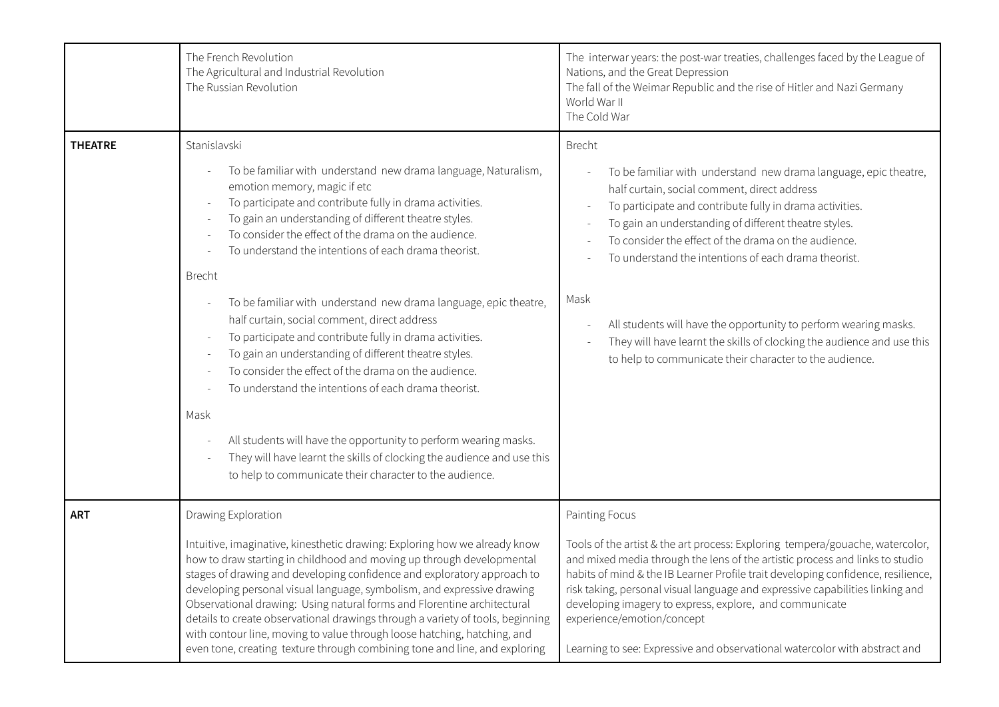|                | The French Revolution<br>The Agricultural and Industrial Revolution<br>The Russian Revolution                                                                                                                                                                                                                                                                                                                                                                                                                                                                                                                                                                                                                                                                                                                                                                                                                                                  | The interwar years: the post-war treaties, challenges faced by the League of<br>Nations, and the Great Depression<br>The fall of the Weimar Republic and the rise of Hitler and Nazi Germany<br>World War II<br>The Cold War                                                                                                                                                                                                                                                                                                                                                            |
|----------------|------------------------------------------------------------------------------------------------------------------------------------------------------------------------------------------------------------------------------------------------------------------------------------------------------------------------------------------------------------------------------------------------------------------------------------------------------------------------------------------------------------------------------------------------------------------------------------------------------------------------------------------------------------------------------------------------------------------------------------------------------------------------------------------------------------------------------------------------------------------------------------------------------------------------------------------------|-----------------------------------------------------------------------------------------------------------------------------------------------------------------------------------------------------------------------------------------------------------------------------------------------------------------------------------------------------------------------------------------------------------------------------------------------------------------------------------------------------------------------------------------------------------------------------------------|
| <b>THEATRE</b> | Stanislavski<br>To be familiar with understand new drama language, Naturalism,<br>emotion memory, magic if etc<br>To participate and contribute fully in drama activities.<br>To gain an understanding of different theatre styles.<br>To consider the effect of the drama on the audience.<br>To understand the intentions of each drama theorist.<br><b>Brecht</b><br>To be familiar with understand new drama language, epic theatre,<br>half curtain, social comment, direct address<br>To participate and contribute fully in drama activities.<br>To gain an understanding of different theatre styles.<br>To consider the effect of the drama on the audience.<br>To understand the intentions of each drama theorist.<br>Mask<br>All students will have the opportunity to perform wearing masks.<br>They will have learnt the skills of clocking the audience and use this<br>to help to communicate their character to the audience. | <b>Brecht</b><br>To be familiar with understand new drama language, epic theatre,<br>half curtain, social comment, direct address<br>To participate and contribute fully in drama activities.<br>To gain an understanding of different theatre styles.<br>To consider the effect of the drama on the audience.<br>To understand the intentions of each drama theorist.<br>Mask<br>All students will have the opportunity to perform wearing masks.<br>They will have learnt the skills of clocking the audience and use this<br>to help to communicate their character to the audience. |
| <b>ART</b>     | Drawing Exploration<br>Intuitive, imaginative, kinesthetic drawing: Exploring how we already know<br>how to draw starting in childhood and moving up through developmental<br>stages of drawing and developing confidence and exploratory approach to<br>developing personal visual language, symbolism, and expressive drawing<br>Observational drawing: Using natural forms and Florentine architectural<br>details to create observational drawings through a variety of tools, beginning<br>with contour line, moving to value through loose hatching, hatching, and<br>even tone, creating texture through combining tone and line, and exploring                                                                                                                                                                                                                                                                                         | Painting Focus<br>Tools of the artist & the art process: Exploring tempera/gouache, watercolor,<br>and mixed media through the lens of the artistic process and links to studio<br>habits of mind & the IB Learner Profile trait developing confidence, resilience,<br>risk taking, personal visual language and expressive capabilities linking and<br>developing imagery to express, explore, and communicate<br>experience/emotion/concept<br>Learning to see: Expressive and observational watercolor with abstract and                                                             |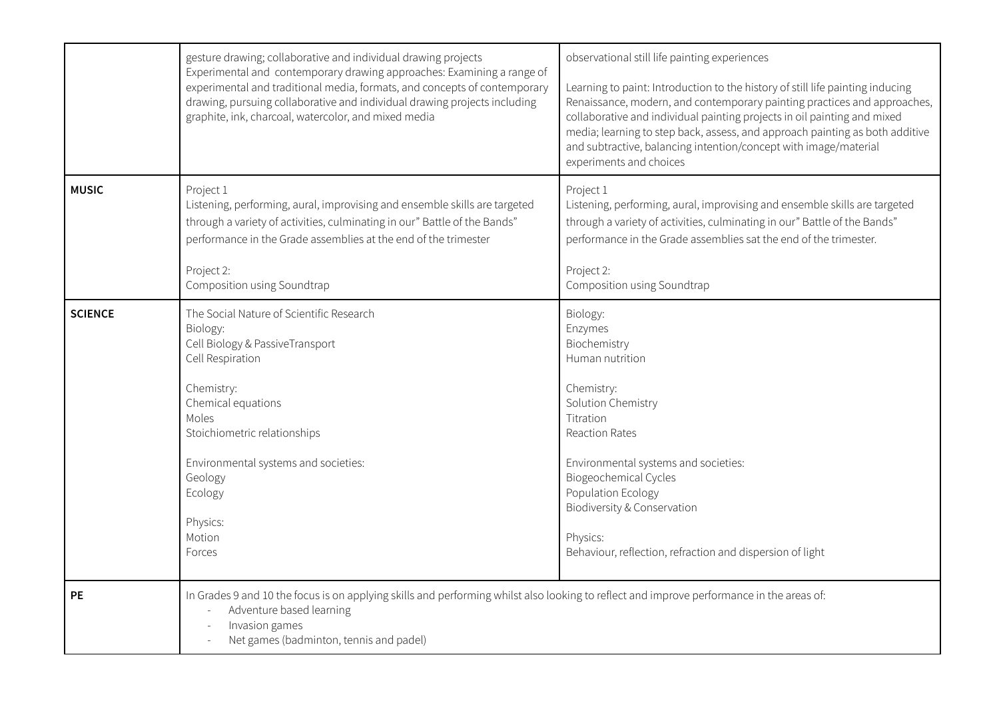|                | gesture drawing; collaborative and individual drawing projects<br>Experimental and contemporary drawing approaches: Examining a range of<br>experimental and traditional media, formats, and concepts of contemporary<br>drawing, pursuing collaborative and individual drawing projects including<br>graphite, ink, charcoal, watercolor, and mixed media | observational still life painting experiences<br>Learning to paint: Introduction to the history of still life painting inducing<br>Renaissance, modern, and contemporary painting practices and approaches,<br>collaborative and individual painting projects in oil painting and mixed<br>media; learning to step back, assess, and approach painting as both additive<br>and subtractive, balancing intention/concept with image/material<br>experiments and choices |
|----------------|------------------------------------------------------------------------------------------------------------------------------------------------------------------------------------------------------------------------------------------------------------------------------------------------------------------------------------------------------------|------------------------------------------------------------------------------------------------------------------------------------------------------------------------------------------------------------------------------------------------------------------------------------------------------------------------------------------------------------------------------------------------------------------------------------------------------------------------|
| <b>MUSIC</b>   | Project 1<br>Listening, performing, aural, improvising and ensemble skills are targeted<br>through a variety of activities, culminating in our" Battle of the Bands"<br>performance in the Grade assemblies at the end of the trimester<br>Project 2:<br>Composition using Soundtrap                                                                       | Project 1<br>Listening, performing, aural, improvising and ensemble skills are targeted<br>through a variety of activities, culminating in our" Battle of the Bands"<br>performance in the Grade assemblies sat the end of the trimester.<br>Project 2:<br>Composition using Soundtrap                                                                                                                                                                                 |
| <b>SCIENCE</b> | The Social Nature of Scientific Research<br>Biology:<br>Cell Biology & PassiveTransport<br>Cell Respiration<br>Chemistry:<br>Chemical equations<br>Moles<br>Stoichiometric relationships<br>Environmental systems and societies:<br>Geology<br>Ecology<br>Physics:<br>Motion<br>Forces                                                                     | Biology:<br>Enzymes<br>Biochemistry<br>Human nutrition<br>Chemistry:<br>Solution Chemistry<br>Titration<br><b>Reaction Rates</b><br>Environmental systems and societies:<br><b>Biogeochemical Cycles</b><br>Population Ecology<br>Biodiversity & Conservation<br>Physics:<br>Behaviour, reflection, refraction and dispersion of light                                                                                                                                 |
| <b>PE</b>      | In Grades 9 and 10 the focus is on applying skills and performing whilst also looking to reflect and improve performance in the areas of:<br>Adventure based learning<br>Invasion games<br>Net games (badminton, tennis and padel)                                                                                                                         |                                                                                                                                                                                                                                                                                                                                                                                                                                                                        |